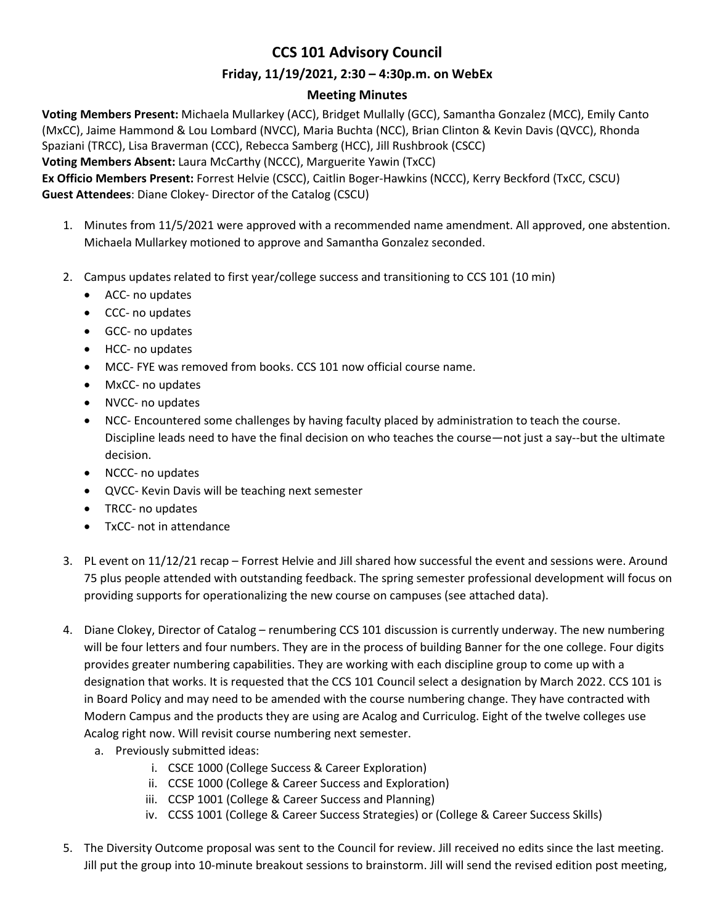## **CCS 101 Advisory Council**

## **Friday, 11/19/2021, 2:30 – 4:30p.m. on WebEx**

## **Meeting Minutes**

**Voting Members Present:** Michaela Mullarkey (ACC), Bridget Mullally (GCC), Samantha Gonzalez (MCC), Emily Canto (MxCC), Jaime Hammond & Lou Lombard (NVCC), Maria Buchta (NCC), Brian Clinton & Kevin Davis (QVCC), Rhonda Spaziani (TRCC), Lisa Braverman (CCC), Rebecca Samberg (HCC), Jill Rushbrook (CSCC)

**Voting Members Absent:** Laura McCarthy (NCCC), Marguerite Yawin (TxCC)

**Ex Officio Members Present:** Forrest Helvie (CSCC), Caitlin Boger-Hawkins (NCCC), Kerry Beckford (TxCC, CSCU) **Guest Attendees**: Diane Clokey- Director of the Catalog (CSCU)

- 1. Minutes from 11/5/2021 were approved with a recommended name amendment. All approved, one abstention. Michaela Mullarkey motioned to approve and Samantha Gonzalez seconded.
- 2. Campus updates related to first year/college success and transitioning to CCS 101 (10 min)
	- ACC- no updates
	- CCC- no updates
	- GCC- no updates
	- HCC- no updates
	- MCC- FYE was removed from books. CCS 101 now official course name.
	- MxCC- no updates
	- NVCC- no updates
	- NCC- Encountered some challenges by having faculty placed by administration to teach the course. Discipline leads need to have the final decision on who teaches the course—not just a say--but the ultimate decision.
	- NCCC- no updates
	- QVCC- Kevin Davis will be teaching next semester
	- TRCC- no updates
	- TxCC- not in attendance
- 3. PL event on 11/12/21 recap Forrest Helvie and Jill shared how successful the event and sessions were. Around 75 plus people attended with outstanding feedback. The spring semester professional development will focus on providing supports for operationalizing the new course on campuses (see attached data).
- 4. Diane Clokey, Director of Catalog renumbering CCS 101 discussion is currently underway. The new numbering will be four letters and four numbers. They are in the process of building Banner for the one college. Four digits provides greater numbering capabilities. They are working with each discipline group to come up with a designation that works. It is requested that the CCS 101 Council select a designation by March 2022. CCS 101 is in Board Policy and may need to be amended with the course numbering change. They have contracted with Modern Campus and the products they are using are Acalog and Curriculog. Eight of the twelve colleges use Acalog right now. Will revisit course numbering next semester.
	- a. Previously submitted ideas:
		- i. CSCE 1000 (College Success & Career Exploration)
		- ii. CCSE 1000 (College & Career Success and Exploration)
		- iii. CCSP 1001 (College & Career Success and Planning)
		- iv. CCSS 1001 (College & Career Success Strategies) or (College & Career Success Skills)
- 5. The Diversity Outcome proposal was sent to the Council for review. Jill received no edits since the last meeting. Jill put the group into 10-minute breakout sessions to brainstorm. Jill will send the revised edition post meeting,